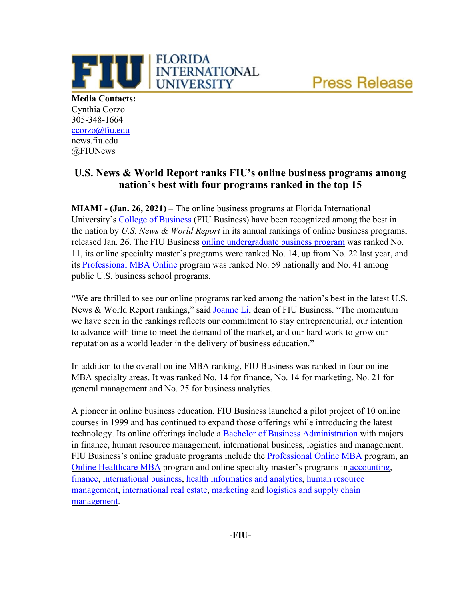**Press Release** 



**Media Contacts:** Cynthia Corzo 305-348-1664 [ccorzo@fiu.edu](mailto:ccorzo@fiu.edu) news.fiu.edu @FIUNews

## **U.S. News & World Report ranks FIU's online business programs among nation's best with four programs ranked in the top 15**

**MIAMI - (Jan. 26, 2021) –** The online business programs at Florida International University's [College of Business](https://business.fiu.edu/) (FIU Business) have been recognized among the best in the nation by *U.S. News & World Report* in its annual rankings of online business programs, released Jan. 26. The FIU Business [online undergraduate business program](https://business.fiu.edu/undergraduate/index.cfm) was ranked No. 11, its online specialty master's programs were ranked No. 14, up from No. 22 last year, and its [Professional MBA Online](https://business.fiu.edu/graduate/online-mba/index.cfm) program was ranked No. 59 nationally and No. 41 among public U.S. business school programs.

"We are thrilled to see our online programs ranked among the nation's best in the latest U.S. News & World Report rankings," said [Joanne Li,](https://business.fiu.edu/faculty/expert-guides.cfm?FlagDirectory=Display&EMP=lij) dean of FIU Business. "The momentum we have seen in the rankings reflects our commitment to stay entrepreneurial, our intention to advance with time to meet the demand of the market, and our hard work to grow our reputation as a world leader in the delivery of business education."

In addition to the overall online MBA ranking, FIU Business was ranked in four online MBA specialty areas. It was ranked No. 14 for finance, No. 14 for marketing, No. 21 for general management and No. 25 for business analytics.

A pioneer in online business education, FIU Business launched a pilot project of 10 online courses in 1999 and has continued to expand those offerings while introducing the latest technology. Its online offerings include a [Bachelor of Business Administration](https://business.fiu.edu/undergraduate/index.cfm) with majors in finance, human resource management, international business, logistics and management. FIU Business's online graduate programs include the [Professional Online MBA](https://business.fiu.edu/graduate/online-mba/index.cfm) program, an [Online Healthcare MBA](https://business.fiu.edu/graduate/healthcare-mba-online/index.cfm) program and online specialty master's programs in [accounting,](https://business.fiu.edu/graduate/accounting/index.cfm) [finance,](https://business.fiu.edu/graduate/finance/index.cfm) [international business,](https://fiuonline.fiu.edu/programs/online-graduate-degrees/master-of-international-business.php) [health informatics and analytics,](https://business.fiu.edu/graduate/health-informatics-and-analytics/index.cfm) [human resource](https://fiuonline.fiu.edu/programs/online-graduate-degrees/master-of-science-in-human-resource-management.php)  [management,](https://fiuonline.fiu.edu/programs/online-graduate-degrees/master-of-science-in-human-resource-management.php) [international real estate,](https://business.fiu.edu/graduate/international-real-estate-online/index.cfm) [marketing](https://business.fiu.edu/graduate/ms-in-marketing-online/index.cfm) and [logistics and supply chain](https://business.fiu.edu/graduate/logistics-and-supply-chain-management-online/index.cfm)  [management.](https://business.fiu.edu/graduate/logistics-and-supply-chain-management-online/index.cfm)